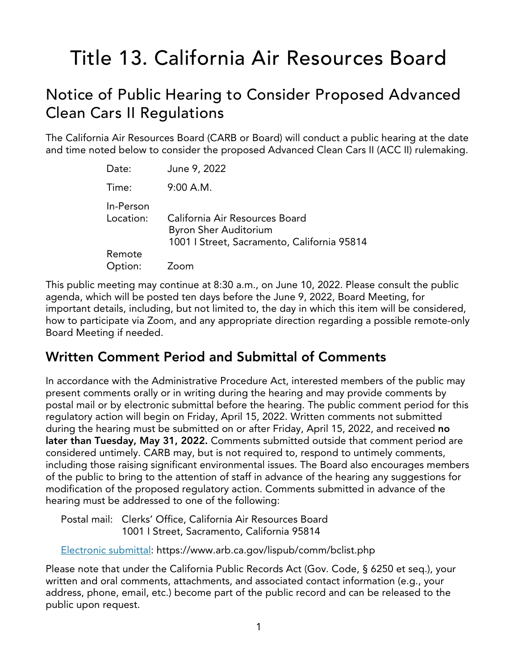# Title 13. California Air Resources Board

# Notice of Public Hearing to Consider Proposed Advanced Clean Cars II Regulations

The California Air Resources Board (CARB or Board) will conduct a public hearing at the date and time noted below to consider the proposed Advanced Clean Cars II (ACC II) rulemaking.

| Date:                  | June 9, 2022                                                                                                  |
|------------------------|---------------------------------------------------------------------------------------------------------------|
| Time:                  | 9:00 A.M.                                                                                                     |
| In-Person<br>Location: | California Air Resources Board<br><b>Byron Sher Auditorium</b><br>1001   Street, Sacramento, California 95814 |
| Remote<br>Option:      | Zoom                                                                                                          |

This public meeting may continue at 8:30 a.m., on June 10, 2022. Please consult the public agenda, which will be posted ten days before the June 9, 2022, Board Meeting, for important details, including, but not limited to, the day in which this item will be considered, how to participate via Zoom, and any appropriate direction regarding a possible remote-only Board Meeting if needed.

# **Written Comment Period and Submittal of Comments**

In accordance with the Administrative Procedure Act, interested members of the public may present comments orally or in writing during the hearing and may provide comments by postal mail or by electronic submittal before the hearing. The public comment period for this regulatory action will begin on Friday, April 15, 2022. Written comments not submitted during the hearing must be submitted on or after Friday, April 15, 2022, and received **no later than Tuesday, May 31, 2022.** Comments submitted outside that comment period are considered untimely. CARB may, but is not required to, respond to untimely comments, including those raising significant environmental issues. The Board also encourages members of the public to bring to the attention of staff in advance of the hearing any suggestions for modification of the proposed regulatory action. Comments submitted in advance of the hearing must be addressed to one of the following:

Postal mail: Clerks' Office, California Air Resources Board 1001 I Street, Sacramento, California 95814

[Electronic](https://www.arb.ca.gov/lispub/comm/bclist.php) submittal: https://www.arb.ca.gov/lispub/comm/bclist.php

Please note that under the California Public Records Act (Gov. Code, § 6250 et seq.), your written and oral comments, attachments, and associated contact information (e.g., your address, phone, email, etc.) become part of the public record and can be released to the public upon request.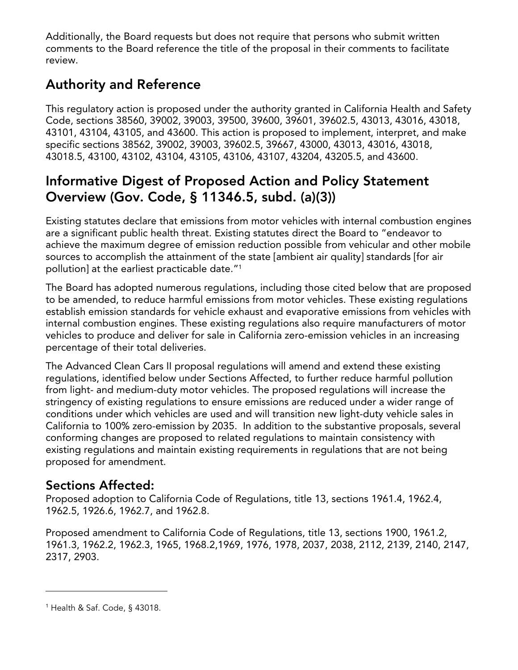Additionally, the Board requests but does not require that persons who submit written comments to the Board reference the title of the proposal in their comments to facilitate review.

# **Authority and Reference**

This regulatory action is proposed under the authority granted in California Health and Safety Code, sections 38560, 39002, 39003, 39500, 39600, 39601, 39602.5, 43013, 43016, 43018, 43101, 43104, 43105, and 43600. This action is proposed to implement, interpret, and make specific sections 38562, 39002, 39003, 39602.5, 39667, 43000, 43013, 43016, 43018, 43018.5, 43100, 43102, 43104, 43105, 43106, 43107, 43204, 43205.5, and 43600.

# **Informative Digest of Proposed Action and Policy Statement Overview (Gov. Code, § 11346.5, subd. (a)(3))**

Existing statutes declare that emissions from motor vehicles with internal combustion engines are a significant public health threat. Existing statutes direct the Board to "endeavor to achieve the maximum degree of emission reduction possible from vehicular and other mobile sources to accomplish the attainment of the state [ambient air quality] standards [for air pollution] at the earliest practicable date."[1](#page-1-0)

The Board has adopted numerous regulations, including those cited below that are proposed to be amended, to reduce harmful emissions from motor vehicles. These existing regulations establish emission standards for vehicle exhaust and evaporative emissions from vehicles with internal combustion engines. These existing regulations also require manufacturers of motor vehicles to produce and deliver for sale in California zero-emission vehicles in an increasing percentage of their total deliveries.

The Advanced Clean Cars II proposal regulations will amend and extend these existing regulations, identified below under Sections Affected, to further reduce harmful pollution from light- and medium-duty motor vehicles. The proposed regulations will increase the stringency of existing regulations to ensure emissions are reduced under a wider range of conditions under which vehicles are used and will transition new light-duty vehicle sales in California to 100% zero-emission by 2035. In addition to the substantive proposals, several conforming changes are proposed to related regulations to maintain consistency with existing regulations and maintain existing requirements in regulations that are not being proposed for amendment.

# **Sections Affected:**

Proposed adoption to California Code of Regulations, title 13, sections 1961.4, 1962.4, 1962.5, 1926.6, 1962.7, and 1962.8.

Proposed amendment to California Code of Regulations, title 13, sections 1900, 1961.2, 1961.3, 1962.2, 1962.3, 1965, 1968.2,1969, 1976, 1978, 2037, 2038, 2112, 2139, 2140, 2147, 2317, 2903.

<span id="page-1-0"></span><sup>1</sup> Health & Saf. Code, § 43018.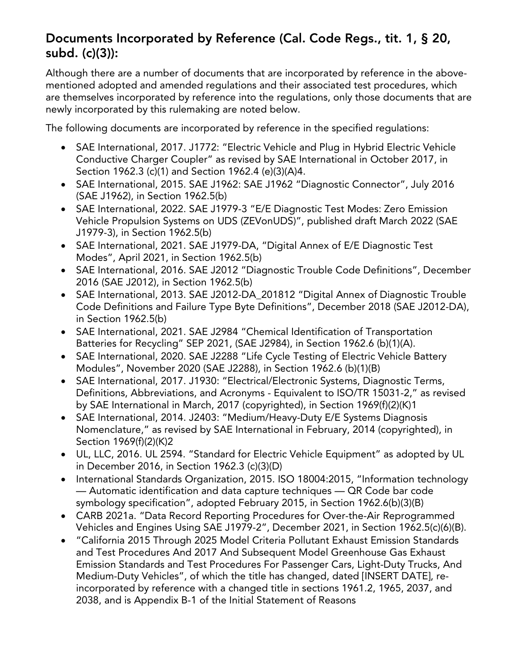# **Documents Incorporated by Reference (Cal. Code Regs., tit. 1, § 20, subd. (c)(3)):**

Although there are a number of documents that are incorporated by reference in the abovementioned adopted and amended regulations and their associated test procedures, which are themselves incorporated by reference into the regulations, only those documents that are newly incorporated by this rulemaking are noted below.

The following documents are incorporated by reference in the specified regulations:

- · SAE International, 2017. J1772: "Electric Vehicle and Plug in Hybrid Electric Vehicle Conductive Charger Coupler" as revised by SAE International in October 2017, in Section 1962.3 (c)(1) and Section 1962.4 (e)(3)(A)4.
- · SAE International, 2015. SAE J1962: SAE J1962 "Diagnostic Connector", July 2016 (SAE J1962), in Section 1962.5(b)
- · SAE International, 2022. SAE J1979-3 "E/E Diagnostic Test Modes: Zero Emission Vehicle Propulsion Systems on UDS (ZEVonUDS)", published draft March 2022 (SAE J1979-3), in Section 1962.5(b)
- · SAE International, 2021. SAE J1979-DA, "Digital Annex of E/E Diagnostic Test Modes", April 2021, in Section 1962.5(b)
- · SAE International, 2016. SAE J2012 "Diagnostic Trouble Code Definitions", December 2016 (SAE J2012), in Section 1962.5(b)
- · SAE International, 2013. SAE J2012-DA\_201812 "Digital Annex of Diagnostic Trouble Code Definitions and Failure Type Byte Definitions", December 2018 (SAE J2012-DA), in Section 1962.5(b)
- · SAE International, 2021. SAE J2984 "Chemical Identification of Transportation Batteries for Recycling" SEP 2021, (SAE J2984), in Section 1962.6 (b)(1)(A).
- · SAE International, 2020. SAE J2288 "Life Cycle Testing of Electric Vehicle Battery Modules", November 2020 (SAE J2288), in Section 1962.6 (b)(1)(B)
- · SAE International, 2017. J1930: "Electrical/Electronic Systems, Diagnostic Terms, Definitions, Abbreviations, and Acronyms - Equivalent to ISO/TR 15031-2," as revised by SAE International in March, 2017 (copyrighted), in Section 1969(f)(2)(K)1
- SAE International, 2014. J2403: "Medium/Heavy-Duty E/E Systems Diagnosis Nomenclature," as revised by SAE International in February, 2014 (copyrighted), in Section 1969(f)(2)(K)2
- · UL, LLC, 2016. UL 2594. "Standard for Electric Vehicle Equipment" as adopted by UL in December 2016, in Section 1962.3 (c)(3)(D)
- · International Standards Organization, 2015. ISO 18004:2015, "Information technology — Automatic identification and data capture techniques — QR Code bar code symbology specification", adopted February 2015, in Section 1962.6(b)(3)(B)
- · CARB 2021a. "Data Record Reporting Procedures for Over-the-Air Reprogrammed Vehicles and Engines Using SAE J1979-2", December 2021, in Section 1962.5(c)(6)(B).
- · "California 2015 Through 2025 Model Criteria Pollutant Exhaust Emission Standards and Test Procedures And 2017 And Subsequent Model Greenhouse Gas Exhaust Emission Standards and Test Procedures For Passenger Cars, Light-Duty Trucks, And Medium-Duty Vehicles", of which the title has changed, dated [INSERT DATE], reincorporated by reference with a changed title in sections 1961.2, 1965, 2037, and 2038, and is Appendix B-1 of the Initial Statement of Reasons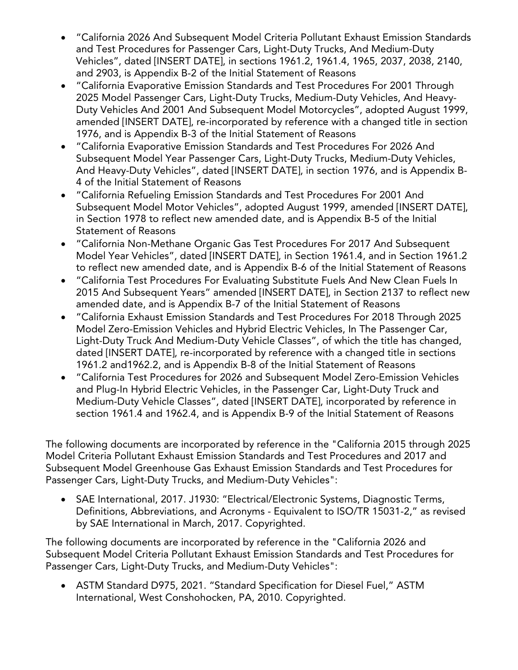- · "California 2026 And Subsequent Model Criteria Pollutant Exhaust Emission Standards and Test Procedures for Passenger Cars, Light-Duty Trucks, And Medium-Duty Vehicles", dated [INSERT DATE], in sections 1961.2, 1961.4, 1965, 2037, 2038, 2140, and 2903, is Appendix B-2 of the Initial Statement of Reasons
- · "California Evaporative Emission Standards and Test Procedures For 2001 Through 2025 Model Passenger Cars, Light-Duty Trucks, Medium-Duty Vehicles, And Heavy-Duty Vehicles And 2001 And Subsequent Model Motorcycles", adopted August 1999, amended [INSERT DATE], re-incorporated by reference with a changed title in section 1976, and is Appendix B-3 of the Initial Statement of Reasons
- · "California Evaporative Emission Standards and Test Procedures For 2026 And Subsequent Model Year Passenger Cars, Light-Duty Trucks, Medium-Duty Vehicles, And Heavy-Duty Vehicles", dated [INSERT DATE], in section 1976, and is Appendix B-4 of the Initial Statement of Reasons
- · "California Refueling Emission Standards and Test Procedures For 2001 And Subsequent Model Motor Vehicles", adopted August 1999, amended [INSERT DATE], in Section 1978 to reflect new amended date, and is Appendix B-5 of the Initial Statement of Reasons
- · "California Non-Methane Organic Gas Test Procedures For 2017 And Subsequent Model Year Vehicles", dated [INSERT DATE], in Section 1961.4, and in Section 1961.2 to reflect new amended date, and is Appendix B-6 of the Initial Statement of Reasons
- · "California Test Procedures For Evaluating Substitute Fuels And New Clean Fuels In 2015 And Subsequent Years" amended [INSERT DATE], in Section 2137 to reflect new amended date, and is Appendix B-7 of the Initial Statement of Reasons
- · "California Exhaust Emission Standards and Test Procedures For 2018 Through 2025 Model Zero-Emission Vehicles and Hybrid Electric Vehicles, In The Passenger Car, Light-Duty Truck And Medium-Duty Vehicle Classes", of which the title has changed, dated [INSERT DATE], re-incorporated by reference with a changed title in sections 1961.2 and1962.2, and is Appendix B-8 of the Initial Statement of Reasons
- · "California Test Procedures for 2026 and Subsequent Model Zero-Emission Vehicles and Plug-In Hybrid Electric Vehicles, in the Passenger Car, Light-Duty Truck and Medium-Duty Vehicle Classes", dated [INSERT DATE], incorporated by reference in section 1961.4 and 1962.4, and is Appendix B-9 of the Initial Statement of Reasons

The following documents are incorporated by reference in the "California 2015 through 2025 Model Criteria Pollutant Exhaust Emission Standards and Test Procedures and 2017 and Subsequent Model Greenhouse Gas Exhaust Emission Standards and Test Procedures for Passenger Cars, Light-Duty Trucks, and Medium-Duty Vehicles":

· SAE International, 2017. J1930: "Electrical/Electronic Systems, Diagnostic Terms, Definitions, Abbreviations, and Acronyms - Equivalent to ISO/TR 15031-2," as revised by SAE International in March, 2017. Copyrighted.

The following documents are incorporated by reference in the "California 2026 and Subsequent Model Criteria Pollutant Exhaust Emission Standards and Test Procedures for Passenger Cars, Light-Duty Trucks, and Medium-Duty Vehicles":

· ASTM Standard D975, 2021. "Standard Specification for Diesel Fuel," ASTM International, West Conshohocken, PA, 2010. Copyrighted.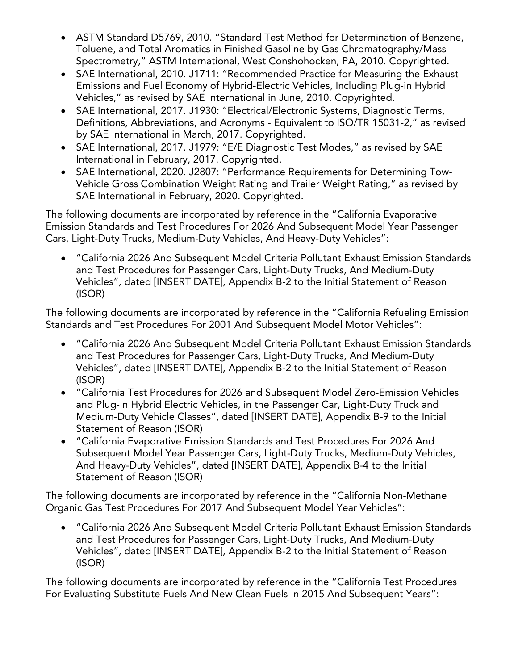- · ASTM Standard D5769, 2010. "Standard Test Method for Determination of Benzene, Toluene, and Total Aromatics in Finished Gasoline by Gas Chromatography/Mass Spectrometry," ASTM International, West Conshohocken, PA, 2010. Copyrighted.
- · SAE International, 2010. J1711: "Recommended Practice for Measuring the Exhaust Emissions and Fuel Economy of Hybrid-Electric Vehicles, Including Plug-in Hybrid Vehicles," as revised by SAE International in June, 2010. Copyrighted.
- · SAE International, 2017. J1930: "Electrical/Electronic Systems, Diagnostic Terms, Definitions, Abbreviations, and Acronyms - Equivalent to ISO/TR 15031-2," as revised by SAE International in March, 2017. Copyrighted.
- · SAE International, 2017. J1979: "E/E Diagnostic Test Modes," as revised by SAE International in February, 2017. Copyrighted.
- · SAE International, 2020. J2807: "Performance Requirements for Determining Tow-Vehicle Gross Combination Weight Rating and Trailer Weight Rating," as revised by SAE International in February, 2020. Copyrighted.

The following documents are incorporated by reference in the "California Evaporative Emission Standards and Test Procedures For 2026 And Subsequent Model Year Passenger Cars, Light-Duty Trucks, Medium-Duty Vehicles, And Heavy-Duty Vehicles":

· "California 2026 And Subsequent Model Criteria Pollutant Exhaust Emission Standards and Test Procedures for Passenger Cars, Light-Duty Trucks, And Medium-Duty Vehicles", dated [INSERT DATE], Appendix B-2 to the Initial Statement of Reason (ISOR)

The following documents are incorporated by reference in the "California Refueling Emission Standards and Test Procedures For 2001 And Subsequent Model Motor Vehicles":

- · "California 2026 And Subsequent Model Criteria Pollutant Exhaust Emission Standards and Test Procedures for Passenger Cars, Light-Duty Trucks, And Medium-Duty Vehicles", dated [INSERT DATE], Appendix B-2 to the Initial Statement of Reason (ISOR)
- · "California Test Procedures for 2026 and Subsequent Model Zero-Emission Vehicles and Plug-In Hybrid Electric Vehicles, in the Passenger Car, Light-Duty Truck and Medium-Duty Vehicle Classes", dated [INSERT DATE], Appendix B-9 to the Initial Statement of Reason (ISOR)
- · "California Evaporative Emission Standards and Test Procedures For 2026 And Subsequent Model Year Passenger Cars, Light-Duty Trucks, Medium-Duty Vehicles, And Heavy-Duty Vehicles", dated [INSERT DATE], Appendix B-4 to the Initial Statement of Reason (ISOR)

The following documents are incorporated by reference in the "California Non-Methane Organic Gas Test Procedures For 2017 And Subsequent Model Year Vehicles":

· "California 2026 And Subsequent Model Criteria Pollutant Exhaust Emission Standards and Test Procedures for Passenger Cars, Light-Duty Trucks, And Medium-Duty Vehicles", dated [INSERT DATE], Appendix B-2 to the Initial Statement of Reason (ISOR)

The following documents are incorporated by reference in the "California Test Procedures For Evaluating Substitute Fuels And New Clean Fuels In 2015 And Subsequent Years":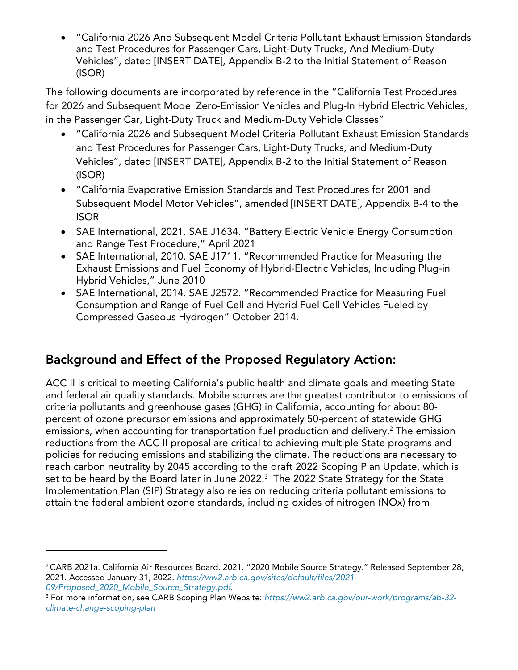· "California 2026 And Subsequent Model Criteria Pollutant Exhaust Emission Standards and Test Procedures for Passenger Cars, Light-Duty Trucks, And Medium-Duty Vehicles", dated [INSERT DATE], Appendix B-2 to the Initial Statement of Reason (ISOR)

The following documents are incorporated by reference in the "California Test Procedures for 2026 and Subsequent Model Zero-Emission Vehicles and Plug-In Hybrid Electric Vehicles, in the Passenger Car, Light-Duty Truck and Medium-Duty Vehicle Classes"

- · "California 2026 and Subsequent Model Criteria Pollutant Exhaust Emission Standards and Test Procedures for Passenger Cars, Light-Duty Trucks, and Medium-Duty Vehicles", dated [INSERT DATE], Appendix B-2 to the Initial Statement of Reason (ISOR)
- · "California Evaporative Emission Standards and Test Procedures for 2001 and Subsequent Model Motor Vehicles", amended [INSERT DATE], Appendix B-4 to the ISOR
- · SAE International, 2021. SAE J1634. "Battery Electric Vehicle Energy Consumption and Range Test Procedure," April 2021
- · SAE International, 2010. SAE J1711. "Recommended Practice for Measuring the Exhaust Emissions and Fuel Economy of Hybrid-Electric Vehicles, Including Plug-in Hybrid Vehicles," June 2010
- · SAE International, 2014. SAE J2572. "Recommended Practice for Measuring Fuel Consumption and Range of Fuel Cell and Hybrid Fuel Cell Vehicles Fueled by Compressed Gaseous Hydrogen" October 2014.

# **Background and Effect of the Proposed Regulatory Action:**

ACC II is critical to meeting California's public health and climate goals and meeting State and federal air quality standards. Mobile sources are the greatest contributor to emissions of criteria pollutants and greenhouse gases (GHG) in California, accounting for about 80 percent of ozone precursor emissions and approximately 50-percent of statewide GHG emissions, when accounting for transportation fuel production and delivery.<sup>[2](#page-5-0)</sup> The emission reductions from the ACC II proposal are critical to achieving multiple State programs and policies for reducing emissions and stabilizing the climate. The reductions are necessary to reach carbon neutrality by 2045 according to the draft 2022 Scoping Plan Update, which is set to be heard by the Board later in June 2022. $^{\rm 3}$  $^{\rm 3}$  $^{\rm 3}$  The 2022 State Strategy for the State Implementation Plan (SIP) Strategy also relies on reducing criteria pollutant emissions to attain the federal ambient ozone standards, including oxides of nitrogen (NOx) from

<span id="page-5-0"></span><sup>&</sup>lt;sup>2</sup> CARB 2021a. California Air Resources Board. 2021. "2020 Mobile Source Strategy." Released September 28, 2021. Accessed January 31, 2022. *[https://ww2.arb.ca.gov/sites/default/files/2021-](https://ww2.arb.ca.gov/sites/default/files/2021-09/Proposed_2020_Mobile_Source_Strategy.pdf) [09/Proposed\\_2020\\_Mobile\\_Source\\_Strategy.pdf](https://ww2.arb.ca.gov/sites/default/files/2021-09/Proposed_2020_Mobile_Source_Strategy.pdf)*.

<span id="page-5-1"></span><sup>3</sup> For more information, see CARB Scoping Plan Website: *[https://ww2.arb.ca.gov/our-work/programs/ab-32](https://ww2.arb.ca.gov/our-work/programs/ab-32-climate-change-scoping-plan) [climate-change-scoping-plan](https://ww2.arb.ca.gov/our-work/programs/ab-32-climate-change-scoping-plan)*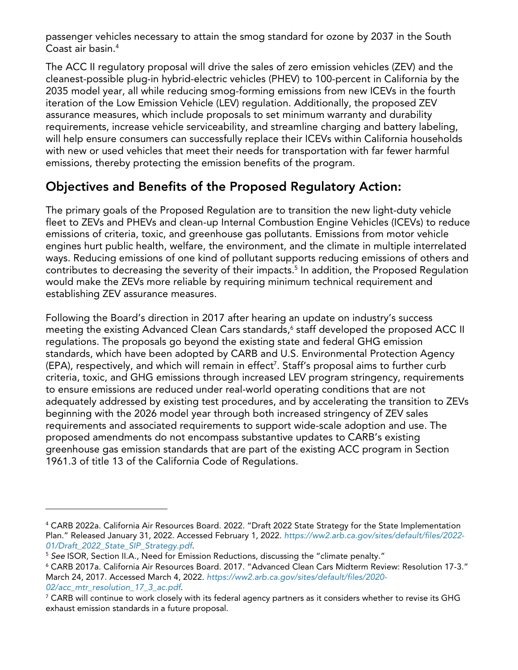passenger vehicles necessary to attain the smog standard for ozone by 2037 in the South Coast air basin. [4](#page-6-0)

The ACC II regulatory proposal will drive the sales of zero emission vehicles (ZEV) and the cleanest-possible plug-in hybrid-electric vehicles (PHEV) to 100-percent in California by the 2035 model year, all while reducing smog-forming emissions from new ICEVs in the fourth iteration of the Low Emission Vehicle (LEV) regulation. Additionally, the proposed ZEV assurance measures, which include proposals to set minimum warranty and durability requirements, increase vehicle serviceability, and streamline charging and battery labeling, will help ensure consumers can successfully replace their ICEVs within California households with new or used vehicles that meet their needs for transportation with far fewer harmful emissions, thereby protecting the emission benefits of the program.

### **Objectives and Benefits of the Proposed Regulatory Action:**

The primary goals of the Proposed Regulation are to transition the new light-duty vehicle fleet to ZEVs and PHEVs and clean-up Internal Combustion Engine Vehicles (ICEVs) to reduce emissions of criteria, toxic, and greenhouse gas pollutants. Emissions from motor vehicle engines hurt public health, welfare, the environment, and the climate in multiple interrelated ways. Reducing emissions of one kind of pollutant supports reducing emissions of others and contributes to decreasing the severity of their impacts.<sup>[5](#page-6-1)</sup> In addition, the Proposed Regulation would make the ZEVs more reliable by requiring minimum technical requirement and establishing ZEV assurance measures.

Following the Board's direction in 2017 after hearing an update on industry's success meeting the existing Advanced Clean Cars standards, [6](#page-6-2) staff developed the proposed ACC II regulations. The proposals go beyond the existing state and federal GHG emission standards, which have been adopted by CARB and U.S. Environmental Protection Agency (EPA), respectively, and which will remain in effect[7](#page-6-3) . Staff's proposal aims to further curb criteria, toxic, and GHG emissions through increased LEV program stringency, requirements to ensure emissions are reduced under real-world operating conditions that are not adequately addressed by existing test procedures, and by accelerating the transition to ZEVs beginning with the 2026 model year through both increased stringency of ZEV sales requirements and associated requirements to support wide-scale adoption and use. The proposed amendments do not encompass substantive updates to CARB's existing greenhouse gas emission standards that are part of the existing ACC program in Section 1961.3 of title 13 of the California Code of Regulations.

<span id="page-6-0"></span><sup>4</sup> CARB 2022a. California Air Resources Board. 2022. "Draft 2022 State Strategy for the State Implementation Plan." Released January 31, 2022. Accessed February 1, 2022. *[https://ww2.arb.ca.gov/sites/default/files/2022-](https://ww2.arb.ca.gov/sites/default/files/2022-01/Draft_2022_State_SIP_Strategy.pdf) [01/Draft\\_2022\\_State\\_SIP\\_Strategy.pdf](https://ww2.arb.ca.gov/sites/default/files/2022-01/Draft_2022_State_SIP_Strategy.pdf)*.

<span id="page-6-1"></span><sup>5</sup> *See* ISOR, Section II.A., Need for Emission Reductions, discussing the "climate penalty."

<span id="page-6-2"></span><sup>6</sup> CARB 2017a. California Air Resources Board. 2017. "Advanced Clean Cars Midterm Review: Resolution 17-3." March 24, 2017. Accessed March 4, 2022. *[https://ww2.arb.ca.gov/sites/default/files/2020-](https://ww2.arb.ca.gov/sites/default/files/2020-02/acc_mtr_resolution_17_3_ac.pdf) [02/acc\\_mtr\\_resolution\\_17\\_3\\_ac.pdf](https://ww2.arb.ca.gov/sites/default/files/2020-02/acc_mtr_resolution_17_3_ac.pdf)*.

<span id="page-6-3"></span> $7$  CARB will continue to work closely with its federal agency partners as it considers whether to revise its GHG exhaust emission standards in a future proposal.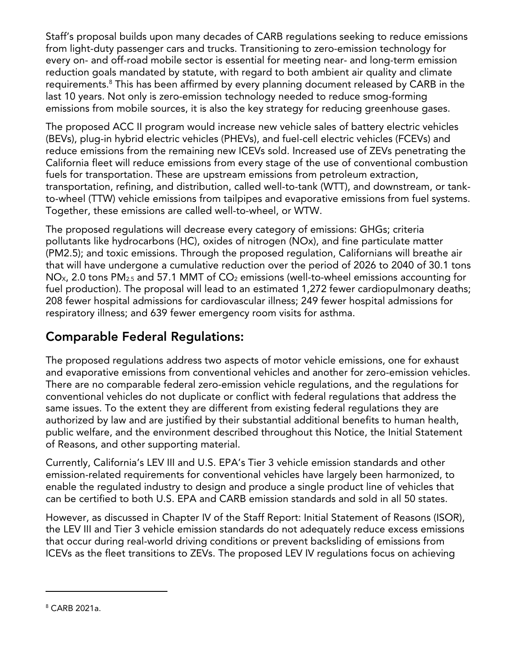Staff's proposal builds upon many decades of CARB regulations seeking to reduce emissions from light-duty passenger cars and trucks. Transitioning to zero-emission technology for every on- and off-road mobile sector is essential for meeting near- and long-term emission reduction goals mandated by statute, with regard to both ambient air quality and climate requirements.[8](#page-7-0) This has been affirmed by every planning document released by CARB in the last 10 years. Not only is zero-emission technology needed to reduce smog-forming emissions from mobile sources, it is also the key strategy for reducing greenhouse gases.

The proposed ACC II program would increase new vehicle sales of battery electric vehicles (BEVs), plug-in hybrid electric vehicles (PHEVs), and fuel-cell electric vehicles (FCEVs) and reduce emissions from the remaining new ICEVs sold. Increased use of ZEVs penetrating the California fleet will reduce emissions from every stage of the use of conventional combustion fuels for transportation. These are upstream emissions from petroleum extraction, transportation, refining, and distribution, called well-to-tank (WTT), and downstream, or tankto-wheel (TTW) vehicle emissions from tailpipes and evaporative emissions from fuel systems. Together, these emissions are called well-to-wheel, or WTW.

The proposed regulations will decrease every category of emissions: GHGs; criteria pollutants like hydrocarbons (HC), oxides of nitrogen (NOx), and fine particulate matter (PM2.5); and toxic emissions. Through the proposed regulation, Californians will breathe air that will have undergone a cumulative reduction over the period of 2026 to 2040 of 30.1 tons  $NO_{X}$ , 2.0 tons PM<sub>2.5</sub> and 57.1 MMT of  $CO_2$  emissions (well-to-wheel emissions accounting for fuel production). The proposal will lead to an estimated 1,272 fewer cardiopulmonary deaths; 208 fewer hospital admissions for cardiovascular illness; 249 fewer hospital admissions for respiratory illness; and 639 fewer emergency room visits for asthma.

# **Comparable Federal Regulations:**

The proposed regulations address two aspects of motor vehicle emissions, one for exhaust and evaporative emissions from conventional vehicles and another for zero-emission vehicles. There are no comparable federal zero-emission vehicle regulations, and the regulations for conventional vehicles do not duplicate or conflict with federal regulations that address the same issues. To the extent they are different from existing federal regulations they are authorized by law and are justified by their substantial additional benefits to human health, public welfare, and the environment described throughout this Notice, the Initial Statement of Reasons, and other supporting material.

Currently, California's LEV III and U.S. EPA's Tier 3 vehicle emission standards and other emission-related requirements for conventional vehicles have largely been harmonized, to enable the regulated industry to design and produce a single product line of vehicles that can be certified to both U.S. EPA and CARB emission standards and sold in all 50 states.

However, as discussed in Chapter IV of the Staff Report: Initial Statement of Reasons (ISOR), the LEV III and Tier 3 vehicle emission standards do not adequately reduce excess emissions that occur during real-world driving conditions or prevent backsliding of emissions from ICEVs as the fleet transitions to ZEVs. The proposed LEV IV regulations focus on achieving

<span id="page-7-0"></span><sup>8</sup> CARB 2021a.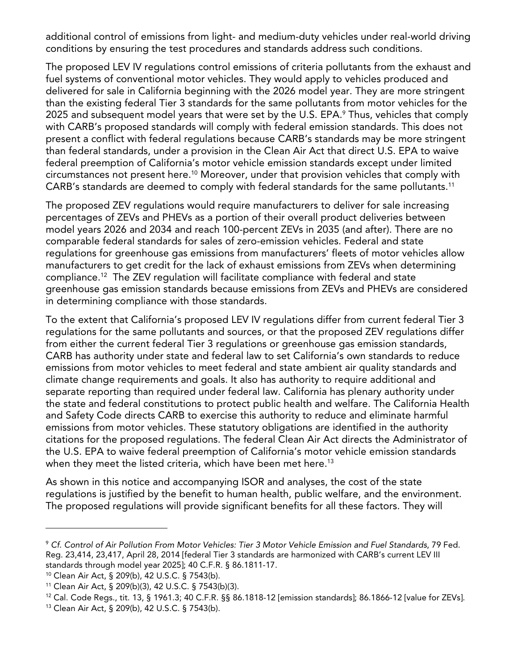additional control of emissions from light- and medium-duty vehicles under real-world driving conditions by ensuring the test procedures and standards address such conditions.

The proposed LEV IV regulations control emissions of criteria pollutants from the exhaust and fuel systems of conventional motor vehicles. They would apply to vehicles produced and delivered for sale in California beginning with the 2026 model year. They are more stringent than the existing federal Tier 3 standards for the same pollutants from motor vehicles for the 2025 and subsequent model years that were set by the U.S. EPA.<sup>[9](#page-8-0)</sup> Thus, vehicles that comply with CARB's proposed standards will comply with federal emission standards. This does not present a conflict with federal regulations because CARB's standards may be more stringent than federal standards, under a provision in the Clean Air Act that direct U.S. EPA to waive federal preemption of California's motor vehicle emission standards except under limited circumstances not present here. [10](#page-8-1) Moreover, under that provision vehicles that comply with CARB's standards are deemed to comply with federal standards for the same pollutants.[11](#page-8-2)

The proposed ZEV regulations would require manufacturers to deliver for sale increasing percentages of ZEVs and PHEVs as a portion of their overall product deliveries between model years 2026 and 2034 and reach 100-percent ZEVs in 2035 (and after). There are no comparable federal standards for sales of zero-emission vehicles. Federal and state regulations for greenhouse gas emissions from manufacturers' fleets of motor vehicles allow manufacturers to get credit for the lack of exhaust emissions from ZEVs when determining compliance.[12](#page-8-3) The ZEV regulation will facilitate compliance with federal and state greenhouse gas emission standards because emissions from ZEVs and PHEVs are considered in determining compliance with those standards.

To the extent that California's proposed LEV IV regulations differ from current federal Tier 3 regulations for the same pollutants and sources, or that the proposed ZEV regulations differ from either the current federal Tier 3 regulations or greenhouse gas emission standards, CARB has authority under state and federal law to set California's own standards to reduce emissions from motor vehicles to meet federal and state ambient air quality standards and climate change requirements and goals. It also has authority to require additional and separate reporting than required under federal law. California has plenary authority under the state and federal constitutions to protect public health and welfare. The California Health and Safety Code directs CARB to exercise this authority to reduce and eliminate harmful emissions from motor vehicles. These statutory obligations are identified in the authority citations for the proposed regulations. The federal Clean Air Act directs the Administrator of the U.S. EPA to waive federal preemption of California's motor vehicle emission standards when they meet the listed criteria, which have been met here.<sup>[13](#page-8-4)</sup>

As shown in this notice and accompanying ISOR and analyses, the cost of the state regulations is justified by the benefit to human health, public welfare, and the environment. The proposed regulations will provide significant benefits for all these factors. They will

<span id="page-8-0"></span><sup>9</sup> *Cf. Control of Air Pollution From Motor Vehicles: Tier 3 Motor Vehicle Emission and Fuel Standards*, 79 Fed. Reg. 23,414, 23,417, April 28, 2014 [federal Tier 3 standards are harmonized with CARB's current LEV III standards through model year 2025]; 40 C.F.R. § 86.1811-17.

<span id="page-8-1"></span><sup>10</sup> Clean Air Act, § 209(b), 42 U.S.C. § 7543(b).

<span id="page-8-2"></span><sup>11</sup> Clean Air Act, § 209(b)(3), 42 U.S.C. § 7543(b)(3).

<span id="page-8-3"></span><sup>12</sup> Cal. Code Regs., tit. 13, § 1961.3; 40 C.F.R. §§ 86.1818-12 [emission standards]; 86.1866-12 [value for ZEVs].

<span id="page-8-4"></span><sup>13</sup> Clean Air Act, § 209(b), 42 U.S.C. § 7543(b).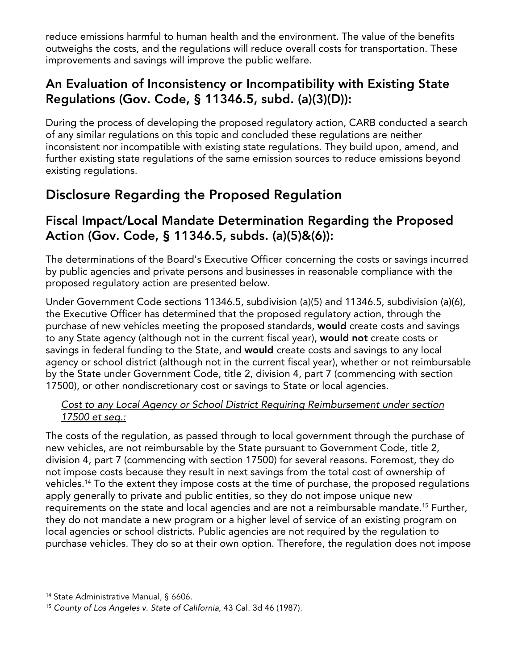reduce emissions harmful to human health and the environment. The value of the benefits outweighs the costs, and the regulations will reduce overall costs for transportation. These improvements and savings will improve the public welfare.

### **An Evaluation of Inconsistency or Incompatibility with Existing State Regulations (Gov. Code, § 11346.5, subd. (a)(3)(D)):**

During the process of developing the proposed regulatory action, CARB conducted a search of any similar regulations on this topic and concluded these regulations are neither inconsistent nor incompatible with existing state regulations. They build upon, amend, and further existing state regulations of the same emission sources to reduce emissions beyond existing regulations.

# **Disclosure Regarding the Proposed Regulation**

### **Fiscal Impact/Local Mandate Determination Regarding the Proposed Action (Gov. Code, § 11346.5, subds. (a)(5)&(6)):**

The determinations of the Board's Executive Officer concerning the costs or savings incurred by public agencies and private persons and businesses in reasonable compliance with the proposed regulatory action are presented below.

Under Government Code sections 11346.5, subdivision (a)(5) and 11346.5, subdivision (a)(6), the Executive Officer has determined that the proposed regulatory action, through the purchase of new vehicles meeting the proposed standards, **would** create costs and savings to any State agency (although not in the current fiscal year), **would not** create costs or savings in federal funding to the State, and **would** create costs and savings to any local agency or school district (although not in the current fiscal year), whether or not reimbursable by the State under Government Code, title 2, division 4, part 7 (commencing with section 17500), or other nondiscretionary cost or savings to State or local agencies.

#### *Cost to any Local Agency or School District Requiring Reimbursement under section 17500 et seq.:*

The costs of the regulation, as passed through to local government through the purchase of new vehicles, are not reimbursable by the State pursuant to Government Code, title 2, division 4, part 7 (commencing with section 17500) for several reasons. Foremost, they do not impose costs because they result in next savings from the total cost of ownership of vehicles.<sup>[14](#page-9-0)</sup> To the extent they impose costs at the time of purchase, the proposed regulations apply generally to private and public entities, so they do not impose unique new requirements on the state and local agencies and are not a reimbursable mandate.[15](#page-9-1) Further, they do not mandate a new program or a higher level of service of an existing program on local agencies or school districts. Public agencies are not required by the regulation to purchase vehicles. They do so at their own option. Therefore, the regulation does not impose

<span id="page-9-0"></span><sup>14</sup> State Administrative Manual, § 6606.

<span id="page-9-1"></span><sup>15</sup> *County of Los Angeles v. State of California*, 43 Cal. 3d 46 (1987).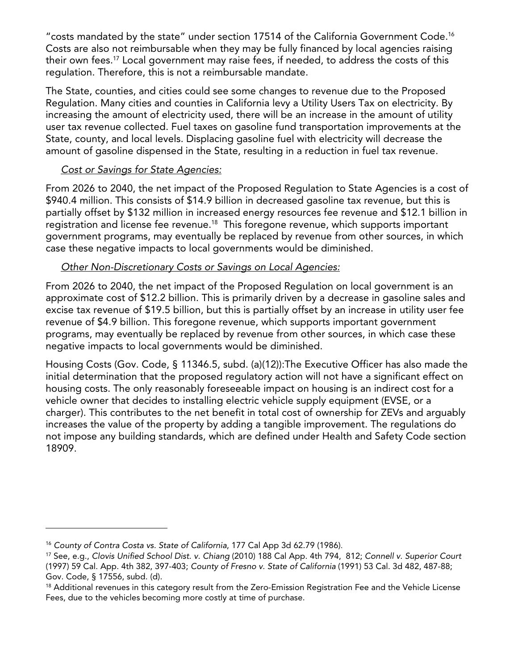"costs mandated by the state" under section 17514 of the California Government Code.[16](#page-10-0) Costs are also not reimbursable when they may be fully financed by local agencies raising their own fees.[17](#page-10-1) Local government may raise fees, if needed, to address the costs of this regulation. Therefore, this is not a reimbursable mandate.

The State, counties, and cities could see some changes to revenue due to the Proposed Regulation. Many cities and counties in California levy a Utility Users Tax on electricity. By increasing the amount of electricity used, there will be an increase in the amount of utility user tax revenue collected. Fuel taxes on gasoline fund transportation improvements at the State, county, and local levels. Displacing gasoline fuel with electricity will decrease the amount of gasoline dispensed in the State, resulting in a reduction in fuel tax revenue.

#### *Cost or Savings for State Agencies:*

From 2026 to 2040, the net impact of the Proposed Regulation to State Agencies is a cost of \$940.4 million. This consists of \$14.9 billion in decreased gasoline tax revenue, but this is partially offset by \$132 million in increased energy resources fee revenue and \$12.1 billion in registration and license fee revenue.<sup>[18](#page-10-2)</sup> This foregone revenue, which supports important government programs, may eventually be replaced by revenue from other sources, in which case these negative impacts to local governments would be diminished.

#### *Other Non-Discretionary Costs or Savings on Local Agencies:*

From 2026 to 2040, the net impact of the Proposed Regulation on local government is an approximate cost of \$12.2 billion. This is primarily driven by a decrease in gasoline sales and excise tax revenue of \$19.5 billion, but this is partially offset by an increase in utility user fee revenue of \$4.9 billion. This foregone revenue, which supports important government programs, may eventually be replaced by revenue from other sources, in which case these negative impacts to local governments would be diminished.

Housing Costs (Gov. Code, § 11346.5, subd. (a)(12)):The Executive Officer has also made the initial determination that the proposed regulatory action will not have a significant effect on housing costs. The only reasonably foreseeable impact on housing is an indirect cost for a vehicle owner that decides to installing electric vehicle supply equipment (EVSE, or a charger). This contributes to the net benefit in total cost of ownership for ZEVs and arguably increases the value of the property by adding a tangible improvement. The regulations do not impose any building standards, which are defined under Health and Safety Code section 18909.

<span id="page-10-0"></span><sup>16</sup> *County of Contra Costa vs. State of California*, 177 Cal App 3d 62.79 (1986).

<span id="page-10-1"></span><sup>17</sup> See, e.g., *Clovis Unified School Dist. v. Chiang* (2010) 188 Cal App. 4th 794, 812; *Connell v. Superior Court* (1997) 59 Cal. App. 4th 382, 397-403; *County of Fresno v. State of California* (1991) 53 Cal. 3d 482, 487-88; Gov. Code, § 17556, subd. (d).

<span id="page-10-2"></span><sup>&</sup>lt;sup>18</sup> Additional revenues in this category result from the Zero-Emission Registration Fee and the Vehicle License Fees, due to the vehicles becoming more costly at time of purchase.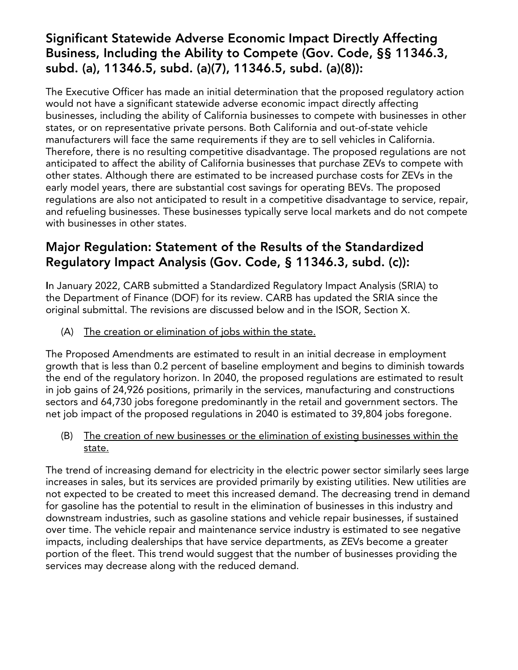### **Significant Statewide Adverse Economic Impact Directly Affecting Business, Including the Ability to Compete (Gov. Code, §§ 11346.3, subd. (a), 11346.5, subd. (a)(7), 11346.5, subd. (a)(8)):**

The Executive Officer has made an initial determination that the proposed regulatory action would not have a significant statewide adverse economic impact directly affecting businesses, including the ability of California businesses to compete with businesses in other states, or on representative private persons. Both California and out-of-state vehicle manufacturers will face the same requirements if they are to sell vehicles in California. Therefore, there is no resulting competitive disadvantage. The proposed regulations are not anticipated to affect the ability of California businesses that purchase ZEVs to compete with other states. Although there are estimated to be increased purchase costs for ZEVs in the early model years, there are substantial cost savings for operating BEVs. The proposed regulations are also not anticipated to result in a competitive disadvantage to service, repair, and refueling businesses. These businesses typically serve local markets and do not compete with businesses in other states.

### **Major Regulation: Statement of the Results of the Standardized Regulatory Impact Analysis (Gov. Code, § 11346.3, subd. (c)):**

**I**n January 2022, CARB submitted a Standardized Regulatory Impact Analysis (SRIA) to the Department of Finance (DOF) for its review. CARB has updated the SRIA since the original submittal. The revisions are discussed below and in the ISOR, Section X.

(A) The creation or elimination of jobs within the state.

The Proposed Amendments are estimated to result in an initial decrease in employment growth that is less than 0.2 percent of baseline employment and begins to diminish towards the end of the regulatory horizon. In 2040, the proposed regulations are estimated to result in job gains of 24,926 positions, primarily in the services, manufacturing and constructions sectors and 64,730 jobs foregone predominantly in the retail and government sectors. The net job impact of the proposed regulations in 2040 is estimated to 39,804 jobs foregone.

(B) The creation of new businesses or the elimination of existing businesses within the state.

The trend of increasing demand for electricity in the electric power sector similarly sees large increases in sales, but its services are provided primarily by existing utilities. New utilities are not expected to be created to meet this increased demand. The decreasing trend in demand for gasoline has the potential to result in the elimination of businesses in this industry and downstream industries, such as gasoline stations and vehicle repair businesses, if sustained over time. The vehicle repair and maintenance service industry is estimated to see negative impacts, including dealerships that have service departments, as ZEVs become a greater portion of the fleet. This trend would suggest that the number of businesses providing the services may decrease along with the reduced demand.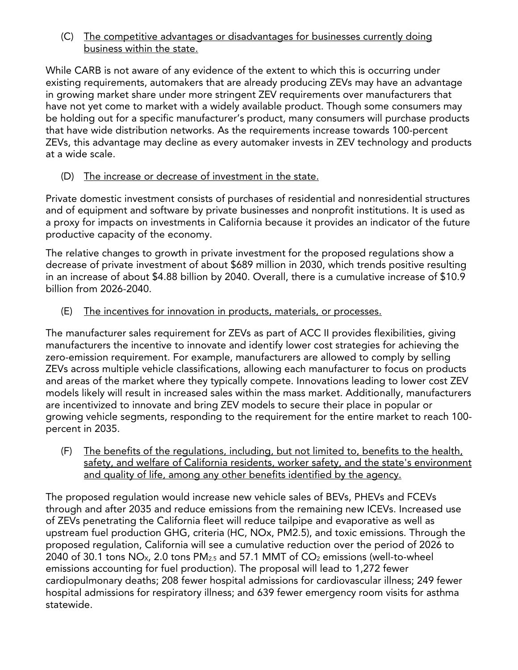#### (C) The competitive advantages or disadvantages for businesses currently doing business within the state.

While CARB is not aware of any evidence of the extent to which this is occurring under existing requirements, automakers that are already producing ZEVs may have an advantage in growing market share under more stringent ZEV requirements over manufacturers that have not yet come to market with a widely available product. Though some consumers may be holding out for a specific manufacturer's product, many consumers will purchase products that have wide distribution networks. As the requirements increase towards 100-percent ZEVs, this advantage may decline as every automaker invests in ZEV technology and products at a wide scale.

#### (D) The increase or decrease of investment in the state.

Private domestic investment consists of purchases of residential and nonresidential structures and of equipment and software by private businesses and nonprofit institutions. It is used as a proxy for impacts on investments in California because it provides an indicator of the future productive capacity of the economy.

The relative changes to growth in private investment for the proposed regulations show a decrease of private investment of about \$689 million in 2030, which trends positive resulting in an increase of about \$4.88 billion by 2040. Overall, there is a cumulative increase of \$10.9 billion from 2026-2040.

#### (E) The incentives for innovation in products, materials, or processes.

The manufacturer sales requirement for ZEVs as part of ACC II provides flexibilities, giving manufacturers the incentive to innovate and identify lower cost strategies for achieving the zero-emission requirement. For example, manufacturers are allowed to comply by selling ZEVs across multiple vehicle classifications, allowing each manufacturer to focus on products and areas of the market where they typically compete. Innovations leading to lower cost ZEV models likely will result in increased sales within the mass market. Additionally, manufacturers are incentivized to innovate and bring ZEV models to secure their place in popular or growing vehicle segments, responding to the requirement for the entire market to reach 100 percent in 2035.

(F) The benefits of the regulations, including, but not limited to, benefits to the health, safety, and welfare of California residents, worker safety, and the state's environment and quality of life, among any other benefits identified by the agency.

The proposed regulation would increase new vehicle sales of BEVs, PHEVs and FCEVs through and after 2035 and reduce emissions from the remaining new ICEVs. Increased use of ZEVs penetrating the California fleet will reduce tailpipe and evaporative as well as upstream fuel production GHG, criteria (HC, NOx, PM2.5), and toxic emissions. Through the proposed regulation, California will see a cumulative reduction over the period of 2026 to 2040 of 30.1 tons  $NO_{X}$ , 2.0 tons  $PM_{2.5}$  and 57.1 MMT of  $CO_{2}$  emissions (well-to-wheel emissions accounting for fuel production). The proposal will lead to 1,272 fewer cardiopulmonary deaths; 208 fewer hospital admissions for cardiovascular illness; 249 fewer hospital admissions for respiratory illness; and 639 fewer emergency room visits for asthma statewide.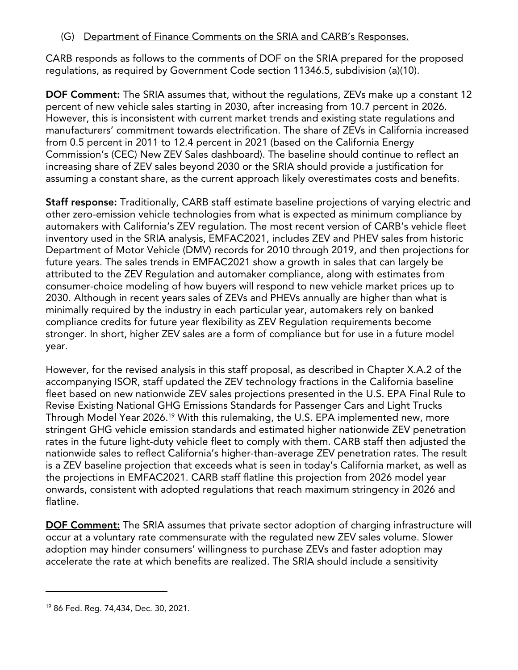#### (G) Department of Finance Comments on the SRIA and CARB's Responses.

CARB responds as follows to the comments of DOF on the SRIA prepared for the proposed regulations, as required by Government Code section 11346.5, subdivision (a)(10).

**DOF Comment:** The SRIA assumes that, without the regulations, ZEVs make up a constant 12 percent of new vehicle sales starting in 2030, after increasing from 10.7 percent in 2026. However, this is inconsistent with current market trends and existing state regulations and manufacturers' commitment towards electrification. The share of ZEVs in California increased from 0.5 percent in 2011 to 12.4 percent in 2021 (based on the California Energy Commission's (CEC) New ZEV Sales dashboard). The baseline should continue to reflect an increasing share of ZEV sales beyond 2030 or the SRIA should provide a justification for assuming a constant share, as the current approach likely overestimates costs and benefits.

**Staff response:** Traditionally, CARB staff estimate baseline projections of varying electric and other zero-emission vehicle technologies from what is expected as minimum compliance by automakers with California's ZEV regulation. The most recent version of CARB's vehicle fleet inventory used in the SRIA analysis, EMFAC2021, includes ZEV and PHEV sales from historic Department of Motor Vehicle (DMV) records for 2010 through 2019, and then projections for future years. The sales trends in EMFAC2021 show a growth in sales that can largely be attributed to the ZEV Regulation and automaker compliance, along with estimates from consumer-choice modeling of how buyers will respond to new vehicle market prices up to 2030. Although in recent years sales of ZEVs and PHEVs annually are higher than what is minimally required by the industry in each particular year, automakers rely on banked compliance credits for future year flexibility as ZEV Regulation requirements become stronger. In short, higher ZEV sales are a form of compliance but for use in a future model year.

However, for the revised analysis in this staff proposal, as described in Chapter X.A.2 of the accompanying ISOR, staff updated the ZEV technology fractions in the California baseline fleet based on new nationwide ZEV sales projections presented in the U.S. EPA Final Rule to Revise Existing National GHG Emissions Standards for Passenger Cars and Light Trucks Through Model Year 2026.[19](#page-13-0) With this rulemaking, the U.S. EPA implemented new, more stringent GHG vehicle emission standards and estimated higher nationwide ZEV penetration rates in the future light-duty vehicle fleet to comply with them. CARB staff then adjusted the nationwide sales to reflect California's higher-than-average ZEV penetration rates. The result is a ZEV baseline projection that exceeds what is seen in today's California market, as well as the projections in EMFAC2021. CARB staff flatline this projection from 2026 model year onwards, consistent with adopted regulations that reach maximum stringency in 2026 and flatline.

**DOF Comment:** The SRIA assumes that private sector adoption of charging infrastructure will occur at a voluntary rate commensurate with the regulated new ZEV sales volume. Slower adoption may hinder consumers' willingness to purchase ZEVs and faster adoption may accelerate the rate at which benefits are realized. The SRIA should include a sensitivity

<span id="page-13-0"></span><sup>19</sup> 86 Fed. Reg. 74,434, Dec. 30, 2021.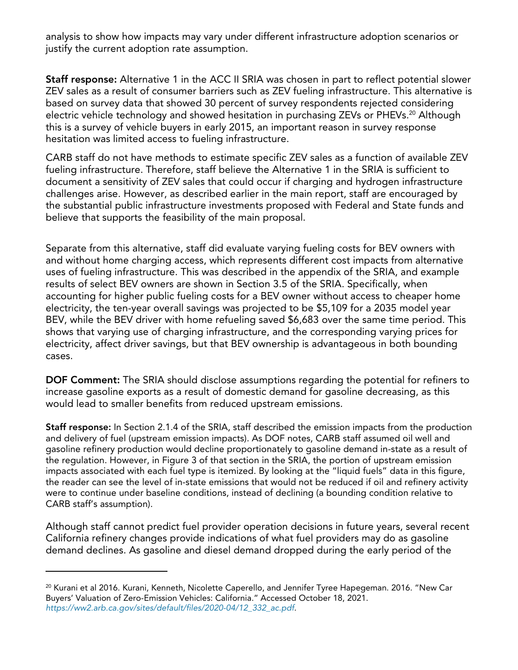analysis to show how impacts may vary under different infrastructure adoption scenarios or justify the current adoption rate assumption.

**Staff response:** Alternative 1 in the ACC II SRIA was chosen in part to reflect potential slower ZEV sales as a result of consumer barriers such as ZEV fueling infrastructure. This alternative is based on survey data that showed 30 percent of survey respondents rejected considering electric vehicle technology and showed hesitation in purchasing ZEVs or PHEVs.<sup>[20](#page-14-0)</sup> Although this is a survey of vehicle buyers in early 2015, an important reason in survey response hesitation was limited access to fueling infrastructure.

CARB staff do not have methods to estimate specific ZEV sales as a function of available ZEV fueling infrastructure. Therefore, staff believe the Alternative 1 in the SRIA is sufficient to document a sensitivity of ZEV sales that could occur if charging and hydrogen infrastructure challenges arise. However, as described earlier in the main report, staff are encouraged by the substantial public infrastructure investments proposed with Federal and State funds and believe that supports the feasibility of the main proposal.

Separate from this alternative, staff did evaluate varying fueling costs for BEV owners with and without home charging access, which represents different cost impacts from alternative uses of fueling infrastructure. This was described in the appendix of the SRIA, and example results of select BEV owners are shown in Section 3.5 of the SRIA. Specifically, when accounting for higher public fueling costs for a BEV owner without access to cheaper home electricity, the ten-year overall savings was projected to be \$5,109 for a 2035 model year BEV, while the BEV driver with home refueling saved \$6,683 over the same time period. This shows that varying use of charging infrastructure, and the corresponding varying prices for electricity, affect driver savings, but that BEV ownership is advantageous in both bounding cases.

**DOF Comment:** The SRIA should disclose assumptions regarding the potential for refiners to increase gasoline exports as a result of domestic demand for gasoline decreasing, as this would lead to smaller benefits from reduced upstream emissions.

**Staff response:** In Section 2.1.4 of the SRIA, staff described the emission impacts from the production and delivery of fuel (upstream emission impacts). As DOF notes, CARB staff assumed oil well and gasoline refinery production would decline proportionately to gasoline demand in-state as a result of the regulation. However, in Figure 3 of that section in the SRIA, the portion of upstream emission impacts associated with each fuel type is itemized. By looking at the "liquid fuels" data in this figure, the reader can see the level of in-state emissions that would not be reduced if oil and refinery activity were to continue under baseline conditions, instead of declining (a bounding condition relative to CARB staff's assumption).

Although staff cannot predict fuel provider operation decisions in future years, several recent California refinery changes provide indications of what fuel providers may do as gasoline demand declines. As gasoline and diesel demand dropped during the early period of the

<span id="page-14-0"></span><sup>&</sup>lt;sup>20</sup> Kurani et al 2016. Kurani, Kenneth, Nicolette Caperello, and Jennifer Tyree Hapegeman. 2016. "New Car Buyers' Valuation of Zero-Emission Vehicles: California." Accessed October 18, 2021. *[https://ww2.arb.ca.gov/sites/default/files/2020-04/12\\_332\\_ac.pdf](https://ww2.arb.ca.gov/sites/default/files/2020-04/12_332_ac.pdf)*.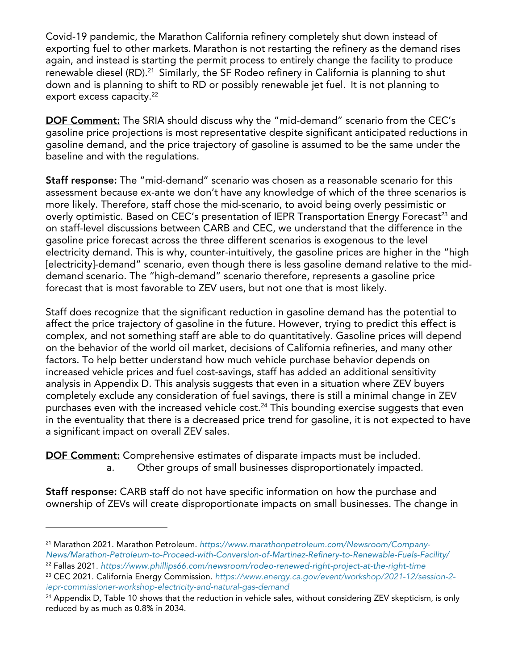Covid-19 pandemic, the Marathon California refinery completely shut down instead of exporting fuel to other markets. Marathon is not restarting the refinery as the demand rises again, and instead is starting the permit process to entirely change the facility to produce renewable diesel (RD).<sup>[21](#page-15-0)</sup> Similarly, the SF Rodeo refinery in California is planning to shut down and is planning to shift to RD or possibly renewable jet fuel. It is not planning to export excess capacity.<sup>[22](#page-15-1)</sup>

**DOF Comment:** The SRIA should discuss why the "mid-demand" scenario from the CEC's gasoline price projections is most representative despite significant anticipated reductions in gasoline demand, and the price trajectory of gasoline is assumed to be the same under the baseline and with the regulations.

**Staff response:** The "mid-demand" scenario was chosen as a reasonable scenario for this assessment because ex-ante we don't have any knowledge of which of the three scenarios is more likely. Therefore, staff chose the mid-scenario, to avoid being overly pessimistic or overly optimistic. Based on CEC's presentation of IEPR Transportation Energy Forecast<sup>[23](#page-15-2)</sup> and on staff-level discussions between CARB and CEC, we understand that the difference in the gasoline price forecast across the three different scenarios is exogenous to the level electricity demand. This is why, counter-intuitively, the gasoline prices are higher in the "high [electricity]-demand" scenario, even though there is less gasoline demand relative to the middemand scenario. The "high-demand" scenario therefore, represents a gasoline price forecast that is most favorable to ZEV users, but not one that is most likely.

Staff does recognize that the significant reduction in gasoline demand has the potential to affect the price trajectory of gasoline in the future. However, trying to predict this effect is complex, and not something staff are able to do quantitatively. Gasoline prices will depend on the behavior of the world oil market, decisions of California refineries, and many other factors. To help better understand how much vehicle purchase behavior depends on increased vehicle prices and fuel cost-savings, staff has added an additional sensitivity analysis in Appendix D. This analysis suggests that even in a situation where ZEV buyers completely exclude any consideration of fuel savings, there is still a minimal change in ZEV purchases even with the increased vehicle cost.<sup>[24](#page-15-3)</sup> This bounding exercise suggests that even in the eventuality that there is a decreased price trend for gasoline, it is not expected to have a significant impact on overall ZEV sales.

**DOF Comment:** Comprehensive estimates of disparate impacts must be included. a. Other groups of small businesses disproportionately impacted.

**Staff response:** CARB staff do not have specific information on how the purchase and ownership of ZEVs will create disproportionate impacts on small businesses. The change in

<span id="page-15-0"></span><sup>21</sup> Marathon 2021. Marathon Petroleum. *[https://www.marathonpetroleum.com/Newsroom/Company-](https://www.marathonpetroleum.com/Newsroom/Company-News/Marathon-Petroleum-to-Proceed-with-Conversion-of-Martinez-Refinery-to-Renewable-Fuels-Facility/)[News/Marathon-Petroleum-to-Proceed-with-Conversion-of-Martinez-Refinery-to-Renewable-Fuels-Facility/](https://www.marathonpetroleum.com/Newsroom/Company-News/Marathon-Petroleum-to-Proceed-with-Conversion-of-Martinez-Refinery-to-Renewable-Fuels-Facility/)*

<span id="page-15-1"></span><sup>22</sup> Fallas 2021. *<https://www.phillips66.com/newsroom/rodeo-renewed-right-project-at-the-right-time>*

<span id="page-15-2"></span><sup>23</sup> CEC 2021. California Energy Commission. *[https://www.energy.ca.gov/event/workshop/2021-12/session-2](https://www.energy.ca.gov/event/workshop/2021-12/session-2-iepr-commissioner-workshop-electricity-and-natural-gas-demand) [iepr-commissioner-workshop-electricity-and-natural-gas-demand](https://www.energy.ca.gov/event/workshop/2021-12/session-2-iepr-commissioner-workshop-electricity-and-natural-gas-demand)*

<span id="page-15-3"></span> $24$  Appendix D, Table 10 shows that the reduction in vehicle sales, without considering ZEV skepticism, is only reduced by as much as 0.8% in 2034.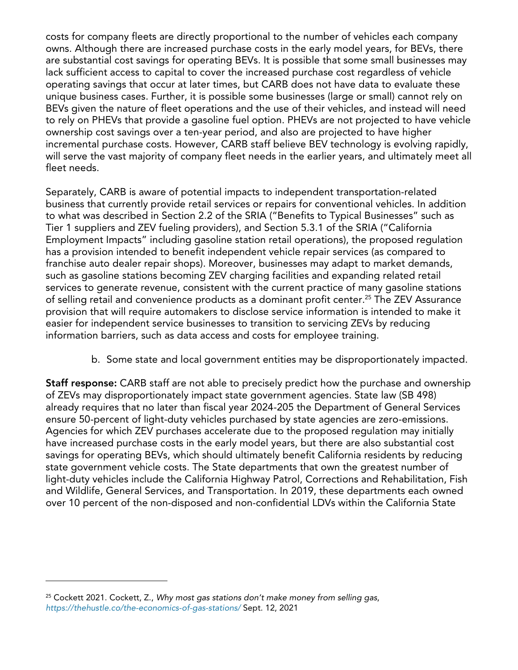costs for company fleets are directly proportional to the number of vehicles each company owns. Although there are increased purchase costs in the early model years, for BEVs, there are substantial cost savings for operating BEVs. It is possible that some small businesses may lack sufficient access to capital to cover the increased purchase cost regardless of vehicle operating savings that occur at later times, but CARB does not have data to evaluate these unique business cases. Further, it is possible some businesses (large or small) cannot rely on BEVs given the nature of fleet operations and the use of their vehicles, and instead will need to rely on PHEVs that provide a gasoline fuel option. PHEVs are not projected to have vehicle ownership cost savings over a ten-year period, and also are projected to have higher incremental purchase costs. However, CARB staff believe BEV technology is evolving rapidly, will serve the vast majority of company fleet needs in the earlier years, and ultimately meet all fleet needs.

Separately, CARB is aware of potential impacts to independent transportation-related business that currently provide retail services or repairs for conventional vehicles. In addition to what was described in Section 2.2 of the SRIA ("Benefits to Typical Businesses" such as Tier 1 suppliers and ZEV fueling providers), and Section 5.3.1 of the SRIA ("California Employment Impacts" including gasoline station retail operations), the proposed regulation has a provision intended to benefit independent vehicle repair services (as compared to franchise auto dealer repair shops). Moreover, businesses may adapt to market demands, such as gasoline stations becoming ZEV charging facilities and expanding related retail services to generate revenue, consistent with the current practice of many gasoline stations of selling retail and convenience products as a dominant profit center.<sup>[25](#page-16-0)</sup> The ZEV Assurance provision that will require automakers to disclose service information is intended to make it easier for independent service businesses to transition to servicing ZEVs by reducing information barriers, such as data access and costs for employee training.

b. Some state and local government entities may be disproportionately impacted.

**Staff response:** CARB staff are not able to precisely predict how the purchase and ownership of ZEVs may disproportionately impact state government agencies. State law (SB 498) already requires that no later than fiscal year 2024-205 the Department of General Services ensure 50-percent of light-duty vehicles purchased by state agencies are zero-emissions. Agencies for which ZEV purchases accelerate due to the proposed regulation may initially have increased purchase costs in the early model years, but there are also substantial cost savings for operating BEVs, which should ultimately benefit California residents by reducing state government vehicle costs. The State departments that own the greatest number of light-duty vehicles include the California Highway Patrol, Corrections and Rehabilitation, Fish and Wildlife, General Services, and Transportation. In 2019, these departments each owned over 10 percent of the non-disposed and non-confidential LDVs within the California State

<span id="page-16-0"></span><sup>25</sup> Cockett 2021. Cockett, Z., *Why most gas stations don't make money from selling gas*, *<https://thehustle.co/the-economics-of-gas-stations/>* Sept. 12, 2021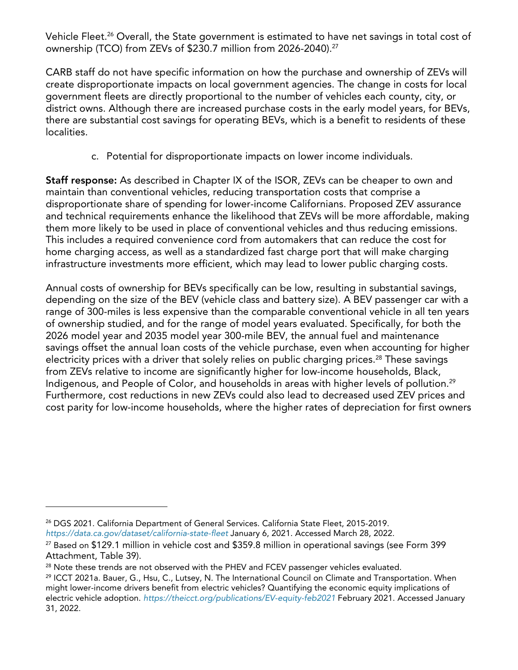Vehicle Fleet.<sup>[26](#page-17-0)</sup> Overall, the State government is estimated to have net savings in total cost of ownership (TCO) from ZEVs of \$230.7 million from 2026-2040).[27](#page-17-1)

CARB staff do not have specific information on how the purchase and ownership of ZEVs will create disproportionate impacts on local government agencies. The change in costs for local government fleets are directly proportional to the number of vehicles each county, city, or district owns. Although there are increased purchase costs in the early model years, for BEVs, there are substantial cost savings for operating BEVs, which is a benefit to residents of these localities.

c. Potential for disproportionate impacts on lower income individuals.

**Staff response:** As described in Chapter IX of the ISOR, ZEVs can be cheaper to own and maintain than conventional vehicles, reducing transportation costs that comprise a disproportionate share of spending for lower-income Californians. Proposed ZEV assurance and technical requirements enhance the likelihood that ZEVs will be more affordable, making them more likely to be used in place of conventional vehicles and thus reducing emissions. This includes a required convenience cord from automakers that can reduce the cost for home charging access, as well as a standardized fast charge port that will make charging infrastructure investments more efficient, which may lead to lower public charging costs.

Annual costs of ownership for BEVs specifically can be low, resulting in substantial savings, depending on the size of the BEV (vehicle class and battery size). A BEV passenger car with a range of 300-miles is less expensive than the comparable conventional vehicle in all ten years of ownership studied, and for the range of model years evaluated. Specifically, for both the 2026 model year and 2035 model year 300-mile BEV, the annual fuel and maintenance savings offset the annual loan costs of the vehicle purchase, even when accounting for higher electricity prices with a driver that solely relies on public charging prices.<sup>[28](#page-17-2)</sup> These savings from ZEVs relative to income are significantly higher for low-income households, Black, Indigenous, and People of Color, and households in areas with higher levels of pollution.<sup>[29](#page-17-3)</sup> Furthermore, cost reductions in new ZEVs could also lead to decreased used ZEV prices and cost parity for low-income households, where the higher rates of depreciation for first owners

<span id="page-17-0"></span><sup>&</sup>lt;sup>26</sup> DGS 2021. California Department of General Services. California State Fleet, 2015-2019. *<https://data.ca.gov/dataset/california-state-fleet>* January 6, 2021. Accessed March 28, 2022.

<span id="page-17-1"></span><sup>27</sup> Based on \$129.1 million in vehicle cost and \$359.8 million in operational savings (see Form 399 Attachment, Table 39).

<span id="page-17-2"></span><sup>&</sup>lt;sup>28</sup> Note these trends are not observed with the PHEV and FCEV passenger vehicles evaluated.

<span id="page-17-3"></span><sup>&</sup>lt;sup>29</sup> ICCT 2021a. Bauer, G., Hsu, C., Lutsey, N. The International Council on Climate and Transportation. When might lower-income drivers benefit from electric vehicles? Quantifying the economic equity implications of electric vehicle adoption. *<https://theicct.org/publications/EV-equity-feb2021>* February 2021. Accessed January 31, 2022.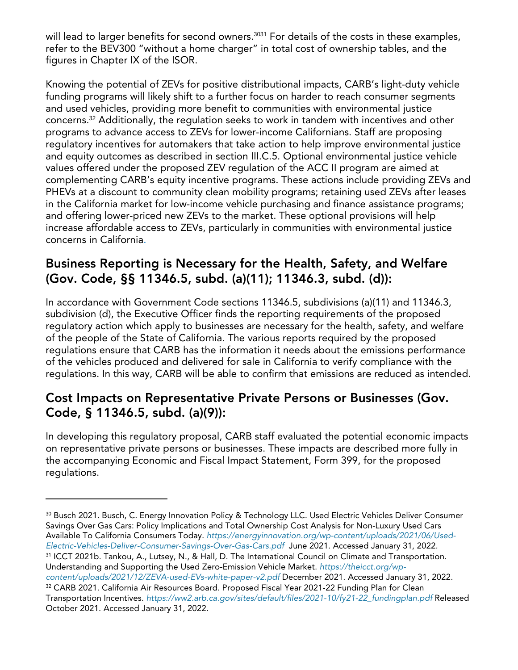will lead to larger benefits for second owners.<sup>[30](#page-18-0)[31](#page-18-1)</sup> For details of the costs in these examples, refer to the BEV300 "without a home charger" in total cost of ownership tables, and the figures in Chapter IX of the ISOR.

Knowing the potential of ZEVs for positive distributional impacts, CARB's light-duty vehicle funding programs will likely shift to a further focus on harder to reach consumer segments and used vehicles, providing more benefit to communities with environmental justice concerns.[32](#page-18-2) Additionally, the regulation seeks to work in tandem with incentives and other programs to advance access to ZEVs for lower-income Californians. Staff are proposing regulatory incentives for automakers that take action to help improve environmental justice and equity outcomes as described in section III.C.5. Optional environmental justice vehicle values offered under the proposed ZEV regulation of the ACC II program are aimed at complementing CARB's equity incentive programs. These actions include providing ZEVs and PHEVs at a discount to community clean mobility programs; retaining used ZEVs after leases in the California market for low-income vehicle purchasing and finance assistance programs; and offering lower-priced new ZEVs to the market. These optional provisions will help increase affordable access to ZEVs, particularly in communities with environmental justice concerns in California.

### **Business Reporting is Necessary for the Health, Safety, and Welfare (Gov. Code, §§ 11346.5, subd. (a)(11); 11346.3, subd. (d)):**

In accordance with Government Code sections 11346.5, subdivisions (a)(11) and 11346.3, subdivision (d), the Executive Officer finds the reporting requirements of the proposed regulatory action which apply to businesses are necessary for the health, safety, and welfare of the people of the State of California. The various reports required by the proposed regulations ensure that CARB has the information it needs about the emissions performance of the vehicles produced and delivered for sale in California to verify compliance with the regulations. In this way, CARB will be able to confirm that emissions are reduced as intended.

### **Cost Impacts on Representative Private Persons or Businesses (Gov. Code, § 11346.5, subd. (a)(9)):**

In developing this regulatory proposal, CARB staff evaluated the potential economic impacts on representative private persons or businesses. These impacts are described more fully in the accompanying Economic and Fiscal Impact Statement, Form 399, for the proposed regulations.

<span id="page-18-1"></span>Understanding and Supporting the Used Zero-Emission Vehicle Market. *[https://theicct.org/wp](https://theicct.org/wp-content/uploads/2021/12/ZEVA-used-EVs-white-paper-v2.pdf)[content/uploads/2021/12/ZEVA-used-EVs-white-paper-v2.pdf](https://theicct.org/wp-content/uploads/2021/12/ZEVA-used-EVs-white-paper-v2.pdf)* December 2021. Accessed January 31, 2022. <sup>32</sup> CARB 2021. California Air Resources Board. Proposed Fiscal Year 2021-22 Funding Plan for Clean

<span id="page-18-0"></span><sup>30</sup> Busch 2021. Busch, C. Energy Innovation Policy & Technology LLC. Used Electric Vehicles Deliver Consumer Savings Over Gas Cars: Policy Implications and Total Ownership Cost Analysis for Non-Luxury Used Cars Available To California Consumers Today. *[https://energyinnovation.org/wp-content/uploads/2021/06/Used-](https://energyinnovation.org/wp-content/uploads/2021/06/Used-Electric-Vehicles-Deliver-Consumer-Savings-Over-Gas-Cars.pdf)[Electric-Vehicles-Deliver-Consumer-Savings-Over-Gas-Cars.pdf](https://energyinnovation.org/wp-content/uploads/2021/06/Used-Electric-Vehicles-Deliver-Consumer-Savings-Over-Gas-Cars.pdf)* June 2021. Accessed January 31, 2022. <sup>31</sup> ICCT 2021b. Tankou, A., Lutsey, N., & Hall, D. The International Council on Climate and Transportation.

<span id="page-18-2"></span>Transportation Incentives. *[https://ww2.arb.ca.gov/sites/default/files/2021-10/fy21-22\\_fundingplan.pdf](https://ww2.arb.ca.gov/sites/default/files/2021-10/fy21-22_fundingplan.pdf)* Released October 2021. Accessed January 31, 2022.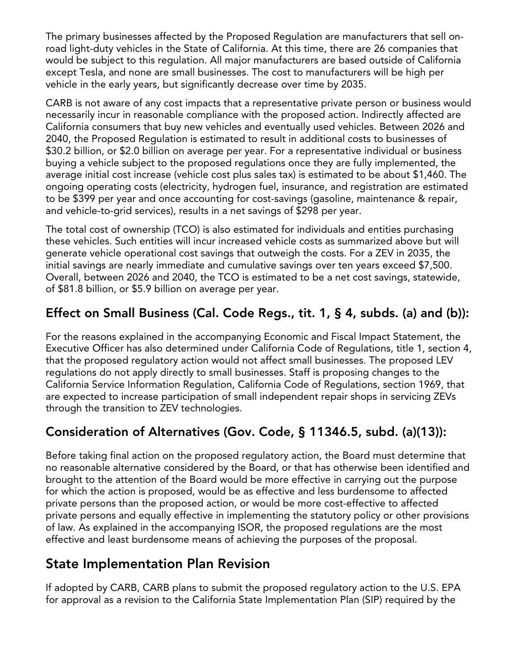The primary businesses affected by the Proposed Regulation are manufacturers that sell onroad light-duty vehicles in the State of California. At this time, there are 26 companies that would be subject to this regulation. All major manufacturers are based outside of California except Tesla, and none are small businesses. The cost to manufacturers will be high per vehicle in the early years, but significantly decrease over time by 2035.

CARB is not aware of any cost impacts that a representative private person or business would necessarily incur in reasonable compliance with the proposed action. Indirectly affected are California consumers that buy new vehicles and eventually used vehicles. Between 2026 and 2040, the Proposed Regulation is estimated to result in additional costs to businesses of \$30.2 billion, or \$2.0 billion on average per year. For a representative individual or business buying a vehicle subject to the proposed regulations once they are fully implemented, the average initial cost increase (vehicle cost plus sales tax) is estimated to be about \$1,460. The ongoing operating costs (electricity, hydrogen fuel, insurance, and registration are estimated to be \$399 per year and once accounting for cost-savings (gasoline, maintenance & repair, and vehicle-to-grid services), results in a net savings of \$298 per year.

The total cost of ownership (TCO) is also estimated for individuals and entities purchasing these vehicles. Such entities will incur increased vehicle costs as summarized above but will generate vehicle operational cost savings that outweigh the costs. For a ZEV in 2035, the initial savings are nearly immediate and cumulative savings over ten years exceed \$7,500. Overall, between 2026 and 2040, the TCO is estimated to be a net cost savings, statewide, of \$81.8 billion, or \$5.9 billion on average per year.

# **Effect on Small Business (Cal. Code Regs., tit. 1, § 4, subds. (a) and (b)):**

For the reasons explained in the accompanying Economic and Fiscal Impact Statement, the Executive Officer has also determined under California Code of Regulations, title 1, section 4, that the proposed regulatory action would not affect small businesses. The proposed LEV regulations do not apply directly to small businesses. Staff is proposing changes to the California Service Information Regulation, California Code of Regulations, section 1969, that are expected to increase participation of small independent repair shops in servicing ZEVs through the transition to ZEV technologies.

# **Consideration of Alternatives (Gov. Code, § 11346.5, subd. (a)(13)):**

Before taking final action on the proposed regulatory action, the Board must determine that no reasonable alternative considered by the Board, or that has otherwise been identified and brought to the attention of the Board would be more effective in carrying out the purpose for which the action is proposed, would be as effective and less burdensome to affected private persons than the proposed action, or would be more cost-effective to affected private persons and equally effective in implementing the statutory policy or other provisions of law. As explained in the accompanying ISOR, the proposed regulations are the most effective and least burdensome means of achieving the purposes of the proposal.

### **State Implementation Plan Revision**

If adopted by CARB, CARB plans to submit the proposed regulatory action to the U.S. EPA for approval as a revision to the California State Implementation Plan (SIP) required by the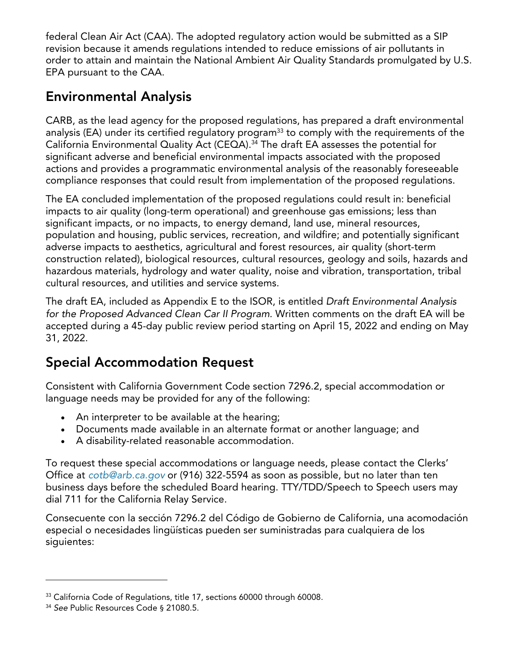federal Clean Air Act (CAA). The adopted regulatory action would be submitted as a SIP revision because it amends regulations intended to reduce emissions of air pollutants in order to attain and maintain the National Ambient Air Quality Standards promulgated by U.S. EPA pursuant to the CAA.

# **Environmental Analysis**

CARB, as the lead agency for the proposed regulations, has prepared a draft environmental analysis (EA) under its certified regulatory program<sup>[33](#page-20-0)</sup> to comply with the requirements of the California Environmental Quality Act (CEQA). [34](#page-20-1) The draft EA assesses the potential for significant adverse and beneficial environmental impacts associated with the proposed actions and provides a programmatic environmental analysis of the reasonably foreseeable compliance responses that could result from implementation of the proposed regulations.

The EA concluded implementation of the proposed regulations could result in: beneficial impacts to air quality (long-term operational) and greenhouse gas emissions; less than significant impacts, or no impacts, to energy demand, land use, mineral resources, population and housing, public services, recreation, and wildfire; and potentially significant adverse impacts to aesthetics, agricultural and forest resources, air quality (short-term construction related), biological resources, cultural resources, geology and soils, hazards and hazardous materials, hydrology and water quality, noise and vibration, transportation, tribal cultural resources, and utilities and service systems.

The draft EA, included as Appendix E to the ISOR, is entitled *Draft Environmental Analysis for the Proposed Advanced Clean Car II Program*. Written comments on the draft EA will be accepted during a 45-day public review period starting on April 15, 2022 and ending on May 31, 2022.

# **Special Accommodation Request**

Consistent with California Government Code section 7296.2, special accommodation or language needs may be provided for any of the following:

- · An interpreter to be available at the hearing;
- · Documents made available in an alternate format or another language; and
- · A disability-related reasonable accommodation.

To request these special accommodations or language needs, please contact the Clerks' Office at *[cotb@arb.ca.gov](mailto:cotb@arb.ca.gov)* or (916) 322-5594 as soon as possible, but no later than ten business days before the scheduled Board hearing. TTY/TDD/Speech to Speech users may dial 711 for the California Relay Service.

Consecuente con la sección 7296.2 del Código de Gobierno de California, una acomodación especial o necesidades lingüísticas pueden ser suministradas para cualquiera de los siguientes:

<span id="page-20-0"></span><sup>&</sup>lt;sup>33</sup> California Code of Regulations, title 17, sections 60000 through 60008.

<span id="page-20-1"></span><sup>34</sup> *See* Public Resources Code § 21080.5.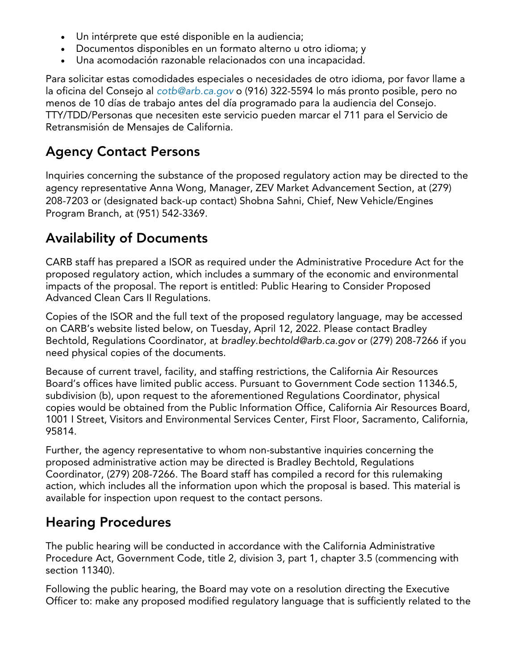- · Un intérprete que esté disponible en la audiencia;
- · Documentos disponibles en un formato alterno u otro idioma; y
- · Una acomodación razonable relacionados con una incapacidad.

Para solicitar estas comodidades especiales o necesidades de otro idioma, por favor llame a la oficina del Consejo al *[cotb@arb.ca.gov](mailto:cotb@arb.ca.gov)* o (916) 322-5594 lo más pronto posible, pero no menos de 10 días de trabajo antes del día programado para la audiencia del Consejo. TTY/TDD/Personas que necesiten este servicio pueden marcar el 711 para el Servicio de Retransmisión de Mensajes de California.

# **Agency Contact Persons**

Inquiries concerning the substance of the proposed regulatory action may be directed to the agency representative Anna Wong, Manager, ZEV Market Advancement Section, at (279) 208-7203 or (designated back-up contact) Shobna Sahni, Chief, New Vehicle/Engines Program Branch, at (951) 542-3369.

# **Availability of Documents**

CARB staff has prepared a ISOR as required under the Administrative Procedure Act for the proposed regulatory action, which includes a summary of the economic and environmental impacts of the proposal. The report is entitled: Public Hearing to Consider Proposed Advanced Clean Cars II Regulations.

Copies of the ISOR and the full text of the proposed regulatory language, may be accessed on CARB's website listed below, on Tuesday, April 12, 2022. Please contact Bradley Bechtold, Regulations Coordinator, at *[bradley.bechtold@arb.ca.gov](mailto:bradley.bechtold@arb.ca.gov)* or (279) 208-7266 if you need physical copies of the documents.

Because of current travel, facility, and staffing restrictions, the California Air Resources Board's offices have limited public access. Pursuant to Government Code section 11346.5, subdivision (b), upon request to the aforementioned Regulations Coordinator, physical copies would be obtained from the Public Information Office, California Air Resources Board, 1001 I Street, Visitors and Environmental Services Center, First Floor, Sacramento, California, 95814.

Further, the agency representative to whom non-substantive inquiries concerning the proposed administrative action may be directed is Bradley Bechtold, Regulations Coordinator, (279) 208-7266. The Board staff has compiled a record for this rulemaking action, which includes all the information upon which the proposal is based. This material is available for inspection upon request to the contact persons.

# **Hearing Procedures**

The public hearing will be conducted in accordance with the California Administrative Procedure Act, Government Code, title 2, division 3, part 1, chapter 3.5 (commencing with section 11340).

Following the public hearing, the Board may vote on a resolution directing the Executive Officer to: make any proposed modified regulatory language that is sufficiently related to the